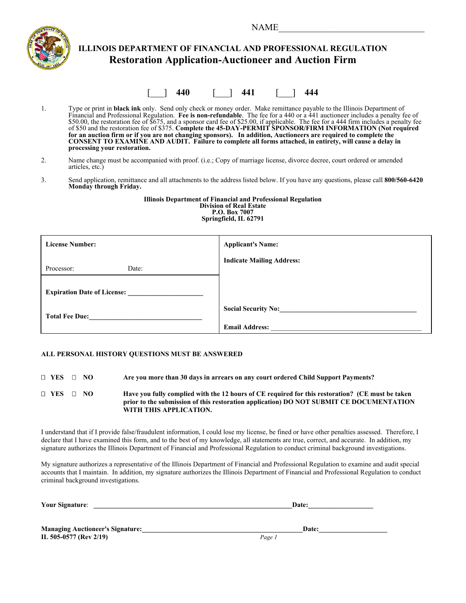$NAME$ 



## **ILLINOIS DEPARTMENT OF FINANCIAL AND PROFESSIONAL REGULATION Restoration Application-Auctioneer and Auction Firm**

[\_\_\_] **440** [\_\_\_] **441** [\_\_\_] **444**

1. Type or print in **black ink** only. Send only check or money order. Make remittance payable to the Illinois Department of Financial and Professional Regulation. **Fee is non-refundable**. The fee for a 440 or a 441 auctioneer includes a penalty fee of \$50.00, the restoration fee of \$675, and a sponsor card fee of \$25.00, if applicable. The fee for a 444 firm includes a penalty fee of \$50 and the restoration fee of \$375. **Complete the 45-DAY-PERMIT SPONSOR/FIRM INFORMATION (Not required for an auction firm or if you are not changing sponsors). In addition, Auctioneers are required to complete the CONSENT TO EXAMINE AND AUDIT. Failure to complete all forms attached, in entirety, will cause a delay in processing your restoration.** 

- 2. Name change must be accompanied with proof. (i.e.; Copy of marriage license, divorce decree, court ordered or amended articles, etc.)
- 3. Send application, remittance and all attachments to the address listed below. If you have any questions, please call **800/560-6420 Monday through Friday.**

**Illinois Department of Financial and Professional Regulation Division of Real Estate P.O. Box 7007 Springfield, IL 62791**

| <b>License Number:</b>             | <b>Applicant's Name:</b>         |
|------------------------------------|----------------------------------|
| Processor:<br>Date:                | <b>Indicate Mailing Address:</b> |
| <b>Expiration Date of License:</b> |                                  |
| <b>Total Fee Due:</b>              | <b>Social Security No:</b>       |
|                                    | <b>Email Address:</b>            |

#### **ALL PERSONAL HISTORY QUESTIONS MUST BE ANSWERED**

 **YES NO Are you more than 30 days in arrears on any court ordered Child Support Payments?** 

 **YES NO Have you fully complied with the 12 hours of CE required for this restoration? (CE must be taken prior to the submission of this restoration application) DO NOT SUBMIT CE DOCUMENTATION WITH THIS APPLICATION.** 

I understand that if I provide false/fraudulent information, I could lose my license, be fined or have other penalties assessed. Therefore, I declare that I have examined this form, and to the best of my knowledge, all statements are true, correct, and accurate. In addition, my signature authorizes the Illinois Department of Financial and Professional Regulation to conduct criminal background investigations.

My signature authorizes a representative of the Illinois Department of Financial and Professional Regulation to examine and audit special accounts that I maintain. In addition, my signature authorizes the Illinois Department of Financial and Professional Regulation to conduct criminal background investigations.

| <b>Your Signature:</b> | Date: |  |
|------------------------|-------|--|
|                        |       |  |
|                        |       |  |

| <b>Managing Auctioneer's Signature:</b> | <b>Date:</b> |
|-----------------------------------------|--------------|
| IL 505-0577 (Rev 2/19)                  | Page.        |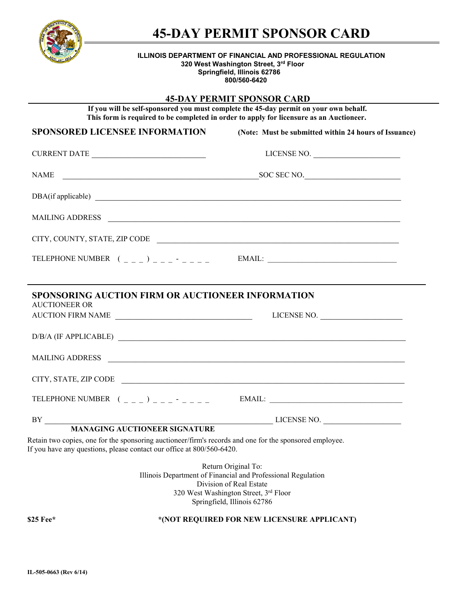

# **45-DAY PERMIT SPONSOR CARD**

#### **ILLINOIS DEPARTMENT OF FINANCIAL AND PROFESSIONAL REGULATION 320 West Washington Street, 3rd Floor Springfield, Illinois 62786**

**800/560-6420**

### **45-DAY PERMIT SPONSOR CARD**

**If you will be self-sponsored you must complete the 45-day permit on your own behalf. This form is required to be completed in order to apply for licensure as an Auctioneer.**

| <b>SPONSORED LICENSEE INFORMATION</b>                                                                                                                                                                                                                                                                                                                                                                                                                                                   | (Note: Must be submitted within 24 hours of Issuance)                                                                                                                                  |
|-----------------------------------------------------------------------------------------------------------------------------------------------------------------------------------------------------------------------------------------------------------------------------------------------------------------------------------------------------------------------------------------------------------------------------------------------------------------------------------------|----------------------------------------------------------------------------------------------------------------------------------------------------------------------------------------|
| CURRENT DATE                                                                                                                                                                                                                                                                                                                                                                                                                                                                            | LICENSE NO.                                                                                                                                                                            |
| NAME                                                                                                                                                                                                                                                                                                                                                                                                                                                                                    | SOC SEC NO.                                                                                                                                                                            |
| DBA(if applicable)                                                                                                                                                                                                                                                                                                                                                                                                                                                                      |                                                                                                                                                                                        |
| MAILING ADDRESS                                                                                                                                                                                                                                                                                                                                                                                                                                                                         |                                                                                                                                                                                        |
| CITY, COUNTY, STATE, ZIP CODE                                                                                                                                                                                                                                                                                                                                                                                                                                                           |                                                                                                                                                                                        |
| TELEPHONE NUMBER $($ $($ $)$ $)$ $)$ $       -$                                                                                                                                                                                                                                                                                                                                                                                                                                         |                                                                                                                                                                                        |
|                                                                                                                                                                                                                                                                                                                                                                                                                                                                                         |                                                                                                                                                                                        |
| <b>SPONSORING AUCTION FIRM OR AUCTIONEER INFORMATION</b><br><b>AUCTIONEER OR</b>                                                                                                                                                                                                                                                                                                                                                                                                        |                                                                                                                                                                                        |
| AUCTION FIRM NAME                                                                                                                                                                                                                                                                                                                                                                                                                                                                       | LICENSE NO.                                                                                                                                                                            |
| $D/B/A (IF APPLICABLE) \begin{tabular}{@{}c@{}} \hline \multicolumn{3}{c}{} & \multicolumn{3}{c}{} & \multicolumn{3}{c}{} \\ \multicolumn{3}{c}{} & \multicolumn{3}{c}{} & \multicolumn{3}{c}{} \\ \multicolumn{3}{c}{} & \multicolumn{3}{c}{} \\ \multicolumn{3}{c}{} & \multicolumn{3}{c}{} \\ \multicolumn{3}{c}{} & \multicolumn{3}{c}{} \\ \multicolumn{3}{c}{} & \multicolumn{3}{c}{} \\ \multicolumn{3}{c}{} & \multicolumn{3}{c}{} \\ \multicolumn{3}{c}{} & \multicolumn{3}{c$ |                                                                                                                                                                                        |
| <b>MAILING ADDRESS</b>                                                                                                                                                                                                                                                                                                                                                                                                                                                                  | <u> 1989 - Johann Barbara, markazar margolaria (h. 1989).</u>                                                                                                                          |
| CITY, STATE, ZIP CODE                                                                                                                                                                                                                                                                                                                                                                                                                                                                   |                                                                                                                                                                                        |
| TELEPHONE NUMBER $($ $)$ $)$ $)$ $=$ $     -$                                                                                                                                                                                                                                                                                                                                                                                                                                           | $EMAIL:$                                                                                                                                                                               |
|                                                                                                                                                                                                                                                                                                                                                                                                                                                                                         |                                                                                                                                                                                        |
| <b>MANAGING AUCTIONEER SIGNATURE</b>                                                                                                                                                                                                                                                                                                                                                                                                                                                    |                                                                                                                                                                                        |
| Retain two copies, one for the sponsoring auctioneer/firm's records and one for the sponsored employee.<br>If you have any questions, please contact our office at 800/560-6420.                                                                                                                                                                                                                                                                                                        |                                                                                                                                                                                        |
|                                                                                                                                                                                                                                                                                                                                                                                                                                                                                         | Return Original To:<br>Illinois Department of Financial and Professional Regulation<br>Division of Real Estate<br>320 West Washington Street, 3rd Floor<br>Springfield, Illinois 62786 |

**\$25 Fee\* \*(NOT REQUIRED FOR NEW LICENSURE APPLICANT)**